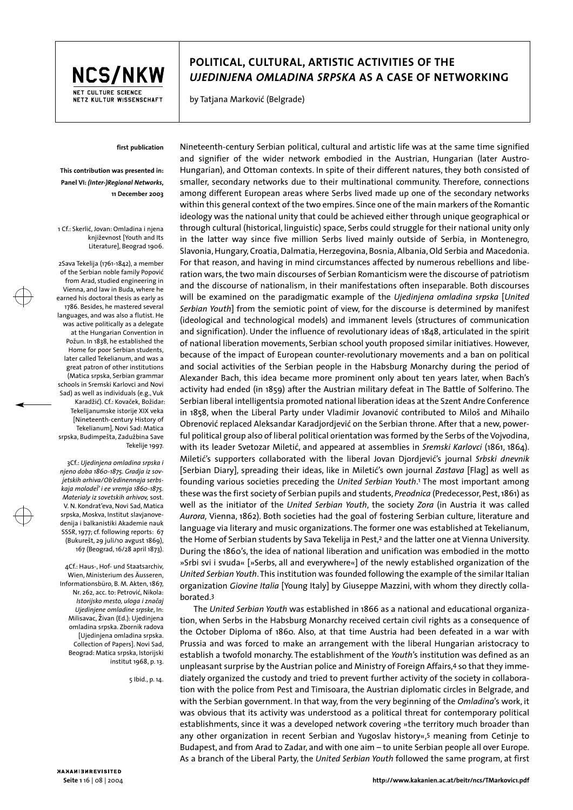

## **POLITICAL, CULTURAL, ARTISTIC ACTIVITIES OF THE**  *UJEDINJENA OMLADINA SRPSKA* **AS A CASE OF NETWORKING**

by Tatjana Marković (Belgrade)

## **first publication**

**This contribution was presented in: Panel VI:** *(Inter-)Regional Networks***, 11 December 2003** 

1 Cf.: Skerlić, Jovan: Omladina i njena književnost [Youth and Its Literature], Beograd 1906.

2Sava Tekelija (1761-1842), a member of the Serbian noble family Popović from Arad, studied engineering in Vienna, and law in Buda, where he earned his doctoral thesis as early as 1786. Besides, he mastered several languages, and was also a flutist. He was active politically as a delegate at the Hungarian Convention in Požun. In 1838, he established the Home for poor Serbian students, later called Tekelianum, and was a great patron of other institutions (Matica srpska, Serbian grammar schools in Sremski Karlovci and Novi Sad) as well as individuals (e.g., Vuk Karadžić). Cf.: Kovaček, Božidar: Tekelijanumske istorije XIX veka [Nineteenth-century History of Tekelianum], Novi Sad: Matica srpska, Budimpešta, Zadužbina Save Tekelije 1997.

3Cf.: *Ujedinjena omladina srpska i njeno doba 1860-1875. Gradja iz sovjetskih arhiva/Ob'edinennaja serbskaja molodeÏ' i ee vremja 1860-1875. Materialy iz sovetskih arhivov,* sost. V. N. Kondrat'eva, Novi Sad, Matica srpska, Moskva, Institut slavjanovedenija i balkanistiki Akademie nauk SSSR, 1977; cf. following reports: 67 (Bukurešt, 29 juli/10 avgust 1869), 167 (Beograd, 16/28 april 1873).

4Cf.: Haus-, Hof- und Staatsarchiv, Wien, Ministerium des Äusseren, Informationsbüro, B. M. Akten, 1867, Nr. 262, acc. to: Petrović, Nikola: *Istorijsko mesto, uloga i značaj Ujedinjene omladine srpske*, In: Milisavac, živan (Ed.): Ujedinjena omladina srpska. Zbornik radova [Ujedinjena omladina srpska. Collection of Papers]. Novi Sad, Beograd: Matica srpska, Istorijski institut 1968, p. 13.

5 Ibid., p. 14.

borated.3

Nineteenth-century Serbian political, cultural and artistic life was at the same time signified and signifier of the wider network embodied in the Austrian, Hungarian (later Austro-Hungarian), and Ottoman contexts. In spite of their different natures, they both consisted of smaller, secondary networks due to their multinational community. Therefore, connections among different European areas where Serbs lived made up one of the secondary networks within this general context of the two empires. Since one of the main markers of the Romantic ideology was the national unity that could be achieved either through unique geographical or through cultural (historical, linguistic) space, Serbs could struggle for their national unity only in the latter way since five million Serbs lived mainly outside of Serbia, in Montenegro, Slavonia, Hungary, Croatia, Dalmatia, Herzegovina, Bosnia, Albania, Old Serbia and Macedonia. For that reason, and having in mind circumstances affected by numerous rebellions and liberation wars, the two main discourses of Serbian Romanticism were the discourse of patriotism and the discourse of nationalism, in their manifestations often inseparable. Both discourses will be examined on the paradigmatic example of the *Ujedinjena omladina srpska* [*United Serbian Youth*] from the semiotic point of view, for the discourse is determined by manifest (ideological and technological models) and immanent levels (structures of communication and signification). Under the influence of revolutionary ideas of 1848, articulated in the spirit of national liberation movements, Serbian school youth proposed similar initiatives. However, because of the impact of European counter-revolutionary movements and a ban on political and social activities of the Serbian people in the Habsburg Monarchy during the period of Alexander Bach, this idea became more prominent only about ten years later, when Bach's activity had ended (in 1859) after the Austrian military defeat in The Battle of Solferino. The Serbian liberal intelligentsia promoted national liberation ideas at the Szent Andre Conference in 1858, when the Liberal Party under Vladimir Jovanović contributed to Miloš and Mihailo Obrenović replaced Aleksandar Karadjordjević on the Serbian throne. After that a new, powerful political group also of liberal political orientation was formed by the Serbs of the Vojvodina, with its leader Svetozar Miletić, and appeared at assemblies in *Sremski Karlovci* (1861, 1864). Miletić's supporters collaborated with the liberal Jovan Djordjević's journal *Srbski dnevnik* [Serbian Diary], spreading their ideas, like in Miletić's own journal *Zastava* [Flag] as well as founding various societies preceding the *United Serbian Youth*. 1 The most important among these was the first society of Serbian pupils and students, *Preodnica* (Predecessor, Pest, 1861) as well as the initiator of the *United Serbian Youth*, the society *Zora* (in Austria it was called *Aurora,* Vienna, 1862). Both societies had the goal of fostering Serbian culture, literature and language via literary and music organizations. The former one was established at Tekelianum, the Home of Serbian students by Sava Tekelija in Pest,2 and the latter one at Vienna University. During the 1860's, the idea of national liberation and unification was embodied in the motto »Srbi svi i svuda« [»Serbs, all and everywhere«] of the newly established organization of the *United Serbian Youth*. This institution was founded following the example of the similar Italian organization *Giovine Italia* [Young Italy] by Giuseppe Mazzini, with whom they directly colla-

The *United Serbian Youth* was established in 1866 as a national and educational organization, when Serbs in the Habsburg Monarchy received certain civil rights as a consequence of the October Diploma of 1860. Also, at that time Austria had been defeated in a war with Prussia and was forced to make an arrangement with the liberal Hungarian aristocracy to establish a twofold monarchy. The establishment of the *Youth*'s institution was defined as an unpleasant surprise by the Austrian police and Ministry of Foreign Affairs, 4 so that they immediately organized the custody and tried to prevent further activity of the society in collaboration with the police from Pest and Timisoara, the Austrian diplomatic circles in Belgrade, and with the Serbian government. In that way, from the very beginning of the *Omladina*'s work, it was obvious that its activity was understood as a political threat for contemporary political establishments, since it was a developed network covering »the territory much broader than any other organization in recent Serbian and Yugoslav history«,5 meaning from Cetinje to Budapest, and from Arad to Zadar, and with one aim – to unite Serbian people all over Europe. As a branch of the Liberal Party, the *United Serbian Youth* followed the same program, at first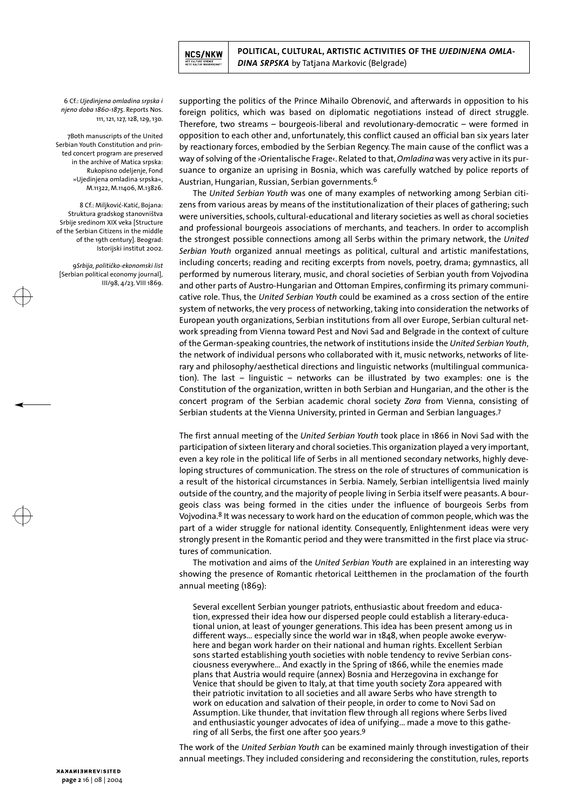

6 Cf.: *Ujedinjena omladina srpska i njeno doba 1860-1875*. Reports Nos. 111, 121, 127, 128, 129, 130.

7Both manuscripts of the United Serbian Youth Constitution and printed concert program are preserved in the archive of Matica srpska: Rukopisno odeljenje, Fond »Ujedinjena omladina srpska«, M.11322, M.11406, M.13826.

8 Cf.: Miljković-Katić, Bojana: Struktura gradskog stanovništva Srbije sredinom XIX veka [Structure of the Serbian Citizens in the middle of the 19th century]. Beograd: Istorijski institut 2002.

9*Srbija, političko-ekonomski list* [Serbian political economy journal], III/98, 4/23. VIII 1869.

supporting the politics of the Prince Mihailo Obrenović, and afterwards in opposition to his foreign politics, which was based on diplomatic negotiations instead of direct struggle. Therefore, two streams – bourgeois-liberal and revolutionary-democratic – were formed in opposition to each other and, unfortunately, this conflict caused an official ban six years later by reactionary forces, embodied by the Serbian Regency. The main cause of the conflict was a way of solving of the ›Orientalische Frage‹. Related to that,*Omladina* was very active in its pursuance to organize an uprising in Bosnia, which was carefully watched by police reports of Austrian, Hungarian, Russian, Serbian governments.6

The *United Serbian Youth* was one of many examples of networking among Serbian citizens from various areas by means of the institutionalization of their places of gathering; such were universities, schools, cultural-educational and literary societies as well as choral societies and professional bourgeois associations of merchants, and teachers. In order to accomplish the strongest possible connections among all Serbs within the primary network, the *United Serbian Youth* organized annual meetings as political, cultural and artistic manifestations, including concerts; reading and reciting excerpts from novels, poetry, drama; gymnastics, all performed by numerous literary, music, and choral societies of Serbian youth from Vojvodina and other parts of Austro-Hungarian and Ottoman Empires, confirming its primary communicative role. Thus, the *United Serbian Youth* could be examined as a cross section of the entire system of networks, the very process of networking, taking into consideration the networks of European youth organizations, Serbian institutions from all over Europe, Serbian cultural network spreading from Vienna toward Pest and Novi Sad and Belgrade in the context of culture of the German-speaking countries, the network of institutions inside the *United Serbian Youth*, the network of individual persons who collaborated with it, music networks, networks of literary and philosophy/aesthetical directions and linguistic networks (multilingual communication). The last – linguistic – networks can be illustrated by two examples: one is the Constitution of the organization, written in both Serbian and Hungarian, and the other is the concert program of the Serbian academic choral society *Zora* from Vienna, consisting of Serbian students at the Vienna University, printed in German and Serbian languages.7

The first annual meeting of the *United Serbian Youth* took place in 1866 in Novi Sad with the participation of sixteen literary and choral societies.This organization played a very important, even a key role in the political life of Serbs in all mentioned secondary networks, highly developing structures of communication. The stress on the role of structures of communication is a result of the historical circumstances in Serbia. Namely, Serbian intelligentsia lived mainly outside of the country, and the majority of people living in Serbia itself were peasants. A bourgeois class was being formed in the cities under the influence of bourgeois Serbs from Vojvodina.8 It was necessary to work hard on the education of common people, which was the part of a wider struggle for national identity. Consequently, Enlightenment ideas were very strongly present in the Romantic period and they were transmitted in the first place via structures of communication.

The motivation and aims of the *United Serbian Youth* are explained in an interesting way showing the presence of Romantic rhetorical Leitthemen in the proclamation of the fourth annual meeting (1869):

Several excellent Serbian younger patriots, enthusiastic about freedom and education, expressed their idea how our dispersed people could establish a literary-educational union, at least of younger generations. This idea has been present among us in different ways… especially since the world war in 1848, when people awoke everywhere and began work harder on their national and human rights. Excellent Serbian sons started establishing youth societies with noble tendency to revive Serbian consciousness everywhere… And exactly in the Spring of 1866, while the enemies made plans that Austria would require (annex) Bosnia and Herzegovina in exchange for Venice that should be given to Italy, at that time youth society Zora appeared with their patriotic invitation to all societies and all aware Serbs who have strength to work on education and salvation of their people, in order to come to Novi Sad on Assumption. Like thunder, that invitation flew through all regions where Serbs lived and enthusiastic younger advocates of idea of unifying... made a move to this gathering of all Serbs, the first one after 500 years.9

The work of the *United Serbian Youth* can be examined mainly through investigation of their annual meetings. They included considering and reconsidering the constitution, rules, reports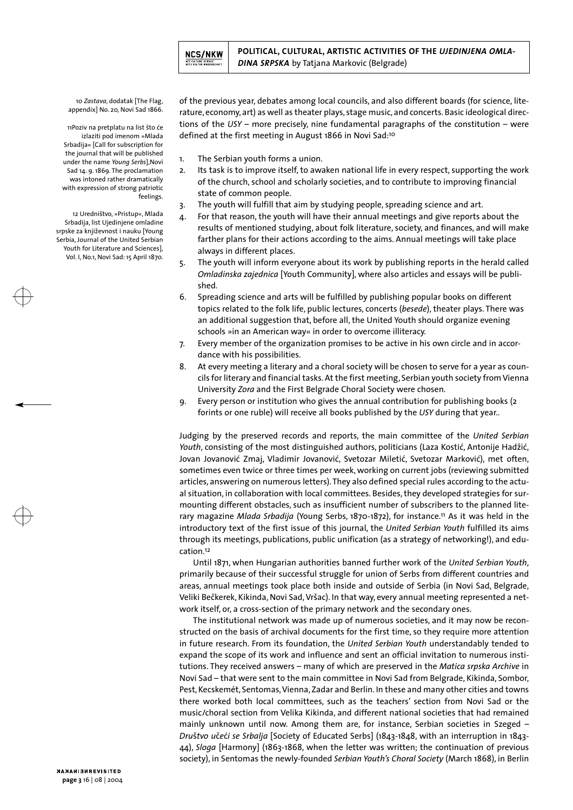

10 *Zastava*, dodatak [The Flag, appendix] No. 20, Novi Sad 1866.

11Poziv na pretplatu na list što će izlaziti pod imenom »Mlada Srbadija« [Call for subscription for the journal that will be published under the name *Young Serbs*],Novi Sad 14. 9. 1869. The proclamation was intoned rather dramatically with expression of strong patriotic feelings.

12 Uredništvo, »Pristup«, Mlada Srbadija, list Ujedinjene omladine srpske za književnost i nauku [Young Serbia, Journal of the United Serbian Youth for Literature and Sciences], Vol. I, No.1, Novi Sad: 15 April 1870.

of the previous year, debates among local councils, and also different boards (for science, literature, economy, art) as well as theater plays, stage music, and concerts. Basic ideological directions of the *USY* – more precisely, nine fundamental paragraphs of the constitution – were defined at the first meeting in August 1866 in Novi Sad:<sup>10</sup>

- 1. The Serbian youth forms a union.
- 2. Its task is to improve itself, to awaken national life in every respect, supporting the work of the church, school and scholarly societies, and to contribute to improving financial state of common people.
- 3. The youth will fulfill that aim by studying people, spreading science and art.
- 4. For that reason, the youth will have their annual meetings and give reports about the results of mentioned studying, about folk literature, society, and finances, and will make farther plans for their actions according to the aims. Annual meetings will take place always in different places.
- 5. The youth will inform everyone about its work by publishing reports in the herald called *Omladinska zajednica* [Youth Community], where also articles and essays will be published.
- 6. Spreading science and arts will be fulfilled by publishing popular books on different topics related to the folk life, public lectures, concerts (*besede*), theater plays. There was an additional suggestion that, before all, the United Youth should organize evening schools »in an American way« in order to overcome illiteracy.
- 7. Every member of the organization promises to be active in his own circle and in accordance with his possibilities.
- 8. At every meeting a literary and a choral society will be chosen to serve for a year as councils for literary and financial tasks. At the first meeting, Serbian youth society from Vienna University *Zora* and the First Belgrade Choral Society were chosen.
- 9. Every person or institution who gives the annual contribution for publishing books (2 forints or one ruble) will receive all books published by the *USY* during that year..

Judging by the preserved records and reports, the main committee of the *United Serbian Youth*, consisting of the most distinguished authors, politicians (Laza Kostić, Antonije Hadžić, Jovan Jovanović Zmaj, Vladimir Jovanović, Svetozar Miletić, Svetozar Marković), met often, sometimes even twice or three times per week, working on current jobs (reviewing submitted articles, answering on numerous letters). They also defined special rules according to the actual situation, in collaboration with local committees. Besides, they developed strategies for surmounting different obstacles, such as insufficient number of subscribers to the planned literary magazine *Mlada Srbadija* (Young Serbs, 1870-1872), for instance.11 As it was held in the introductory text of the first issue of this journal, the *United Serbian Youth* fulfilled its aims through its meetings, publications, public unification (as a strategy of networking!), and education.12

Until 1871, when Hungarian authorities banned further work of the *United Serbian Youth*, primarily because of their successful struggle for union of Serbs from different countries and areas, annual meetings took place both inside and outside of Serbia (in Novi Sad, Belgrade, Veliki Bečkerek, Kikinda, Novi Sad, Vršac). In that way, every annual meeting represented a network itself, or, a cross-section of the primary network and the secondary ones.

The institutional network was made up of numerous societies, and it may now be reconstructed on the basis of archival documents for the first time, so they require more attention in future research. From its foundation, the *United Serbian Youth* understandably tended to expand the scope of its work and influence and sent an official invitation to numerous institutions. They received answers – many of which are preserved in the *Matica srpska Archive* in Novi Sad – that were sent to the main committee in Novi Sad from Belgrade, Kikinda, Sombor, Pest, Kecskemét, Sentomas, Vienna, Zadar and Berlin. In these and many other cities and towns there worked both local committees, such as the teachers' section from Novi Sad or the music/choral section from Velika Kikinda, and different national societies that had remained mainly unknown until now. Among them are, for instance, Serbian societies in Szeged – *Dru*š*tvo u*č*e*ć*i se Srbalja* [Society of Educated Serbs] (1843-1848, with an interruption in 1843- 44), *Sloga* [Harmony] (1863-1868, when the letter was written; the continuation of previous society), in Sentomas the newly-founded *Serbian Youth's Choral Society* (March 1868), in Berlin

NANAMISMPEVISITED **page 3** 16 | 08 | 2004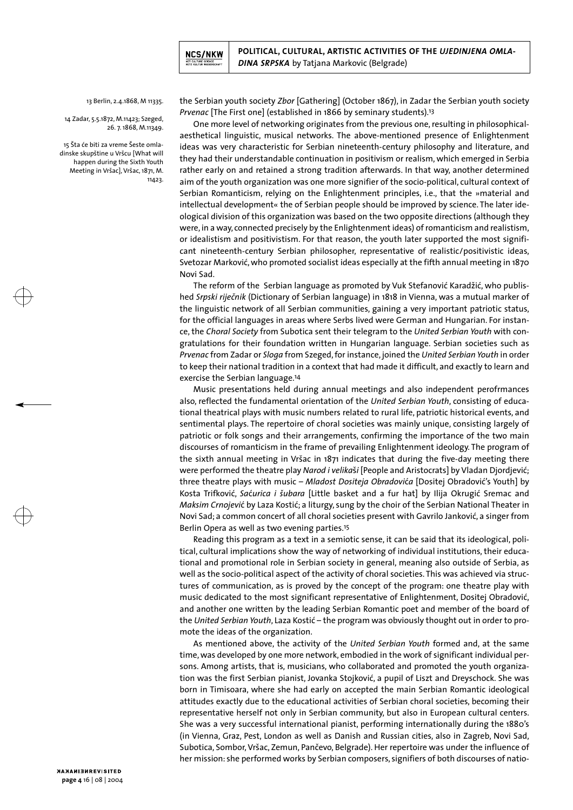

13 Berlin, 2.4.1868, M 11335.

14 Zadar, 5.5.1872, M.11423; Szeged, 26. 7. 1868, M.11349.

15 Šta će biti za vreme Šeste omladinske skupštine u Vršcu [What will happen during the Sixth Youth Meeting in Vršac], Vršac, 1871, M. 11423.

the Serbian youth society *Zbor* [Gathering] (October 1867), in Zadar the Serbian youth society *Prvenac* [The First one] (established in 1866 by seminary students).13

One more level of networking originates from the previous one, resulting in philosophicalaesthetical linguistic, musical networks. The above-mentioned presence of Enlightenment ideas was very characteristic for Serbian nineteenth-century philosophy and literature, and they had their understandable continuation in positivism or realism, which emerged in Serbia rather early on and retained a strong tradition afterwards. In that way, another determined aim of the youth organization was one more signifier of the socio-political, cultural context of Serbian Romanticism, relying on the Enlightenment principles, i.e., that the »material and intellectual development« the of Serbian people should be improved by science. The later ideological division of this organization was based on the two opposite directions (although they were, in a way, connected precisely by the Enlightenment ideas) of romanticism and realistism, or idealistism and positivistism. For that reason, the youth later supported the most significant nineteenth-century Serbian philosopher, representative of realistic/positivistic ideas, Svetozar Marković, who promoted socialist ideas especially at the fifth annual meeting in 1870 Novi Sad.

The reform of the Serbian language as promoted by Vuk Stefanović Karadžić, who published *Srpski riječnik* (Dictionary of Serbian language) in 1818 in Vienna, was a mutual marker of the linguistic network of all Serbian communities, gaining a very important patriotic status, for the official languages in areas where Serbs lived were German and Hungarian. For instance, the *Choral Society* from Subotica sent their telegram to the *United Serbian Youth* with congratulations for their foundation written in Hungarian language. Serbian societies such as *Prvenac* from Zadar or *Sloga* from Szeged, for instance, joined the *United Serbian Youth* in order to keep their national tradition in a context that had made it difficult, and exactly to learn and exercise the Serbian language.14

Music presentations held during annual meetings and also independent perofrmances also, reflected the fundamental orientation of the *United Serbian Youth*, consisting of educational theatrical plays with music numbers related to rural life, patriotic historical events, and sentimental plays. The repertoire of choral societies was mainly unique, consisting largely of patriotic or folk songs and their arrangements, confirming the importance of the two main discourses of romanticism in the frame of prevailing Enlightenment ideology. The program of the sixth annual meeting in Vršac in 1871 indicates that during the five-day meeting there were performed the theatre play *Narod i velika*š*i* [People and Aristocrats] by Vladan Djordjević; three theatre plays with music – *Mladost Dositeja Obradovi*ć*a* [Dositej Obradović's Youth] by Kosta Trifković, *Sa*ć*urica i šubara* [Little basket and a fur hat] by Ilija Okrugić Sremac and *Maksim Crnojevi*ć by Laza Kostić; a liturgy, sung by the choir of the Serbian National Theater in Novi Sad; a common concert of all choral societies present with Gavrilo Janković, a singer from Berlin Opera as well as two evening parties.15

Reading this program as a text in a semiotic sense, it can be said that its ideological, political, cultural implications show the way of networking of individual institutions, their educational and promotional role in Serbian society in general, meaning also outside of Serbia, as well as the socio-political aspect of the activity of choral societies. This was achieved via structures of communication, as is proved by the concept of the program: one theatre play with music dedicated to the most significant representative of Enlightenment, Dositej Obradović, and another one written by the leading Serbian Romantic poet and member of the board of the *United Serbian Youth*, Laza Kostić – the program was obviously thought out in order to promote the ideas of the organization.

As mentioned above, the activity of the *United Serbian Youth* formed and, at the same time, was developed by one more network, embodied in the work of significant individual persons. Among artists, that is, musicians, who collaborated and promoted the youth organization was the first Serbian pianist, Jovanka Stojković, a pupil of Liszt and Dreyschock. She was born in Timisoara, where she had early on accepted the main Serbian Romantic ideological attitudes exactly due to the educational activities of Serbian choral societies, becoming their representative herself not only in Serbian community, but also in European cultural centers. She was a very successful international pianist, performing internationally during the 1880's (in Vienna, Graz, Pest, London as well as Danish and Russian cities, also in Zagreb, Novi Sad, Subotica, Sombor, Vršac, Zemun, Pančevo, Belgrade). Her repertoire was under the influence of her mission: she performed works by Serbian composers, signifiers of both discourses of natio-